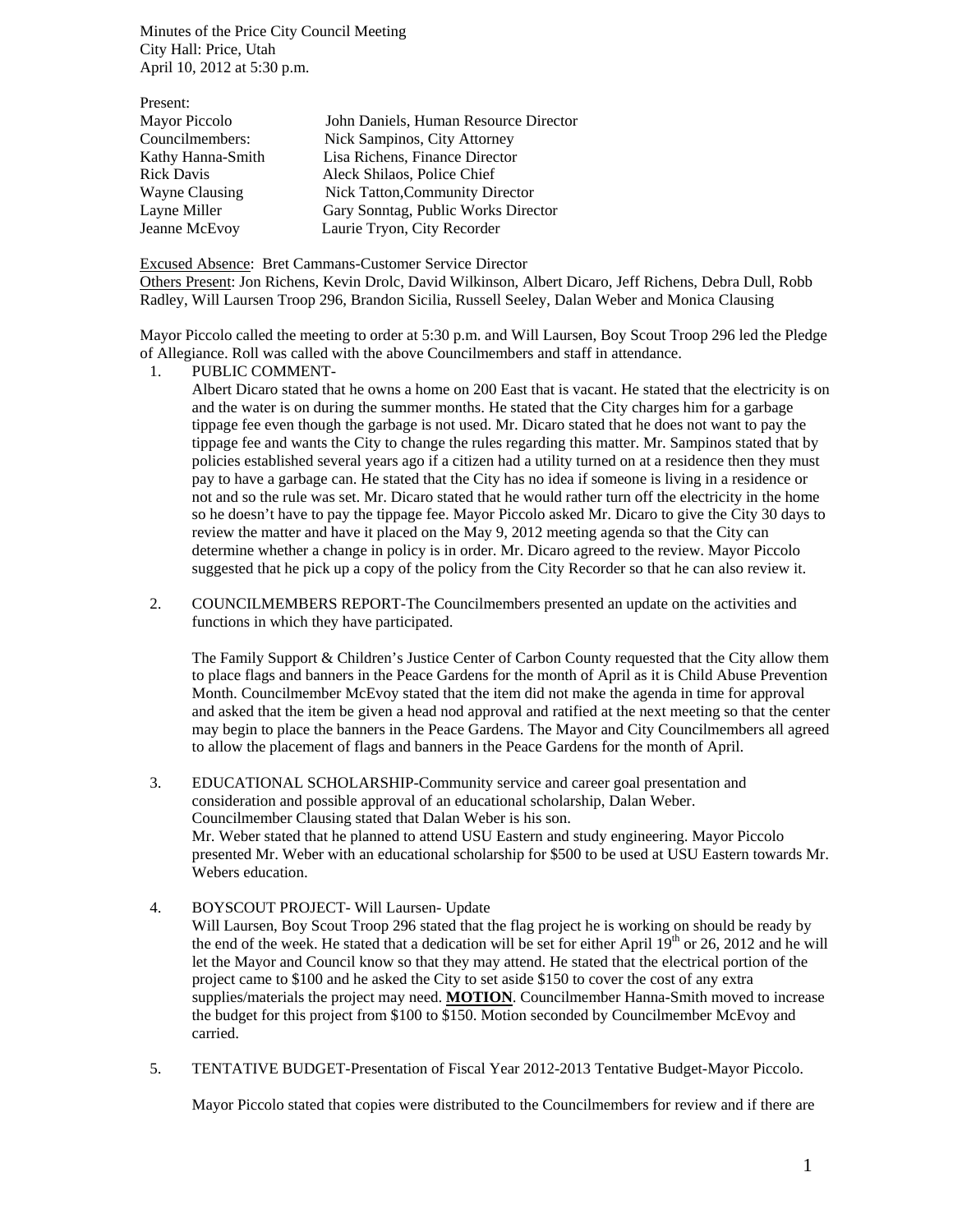Minutes of the Price City Council Meeting City Hall: Price, Utah April 10, 2012 at 5:30 p.m.

| Present:          |                                        |
|-------------------|----------------------------------------|
| Mayor Piccolo     | John Daniels, Human Resource Director  |
| Councilmembers:   | Nick Sampinos, City Attorney           |
| Kathy Hanna-Smith | Lisa Richens, Finance Director         |
| <b>Rick Davis</b> | Aleck Shilaos, Police Chief            |
| Wayne Clausing    | <b>Nick Tatton, Community Director</b> |
| Layne Miller      | Gary Sonntag, Public Works Director    |
| Jeanne McEvoy     | Laurie Tryon, City Recorder            |

Excused Absence: Bret Cammans-Customer Service Director Others Present: Jon Richens, Kevin Drolc, David Wilkinson, Albert Dicaro, Jeff Richens, Debra Dull, Robb Radley, Will Laursen Troop 296, Brandon Sicilia, Russell Seeley, Dalan Weber and Monica Clausing

Mayor Piccolo called the meeting to order at 5:30 p.m. and Will Laursen, Boy Scout Troop 296 led the Pledge of Allegiance. Roll was called with the above Councilmembers and staff in attendance.

## 1. PUBLIC COMMENT-

Albert Dicaro stated that he owns a home on 200 East that is vacant. He stated that the electricity is on and the water is on during the summer months. He stated that the City charges him for a garbage tippage fee even though the garbage is not used. Mr. Dicaro stated that he does not want to pay the tippage fee and wants the City to change the rules regarding this matter. Mr. Sampinos stated that by policies established several years ago if a citizen had a utility turned on at a residence then they must pay to have a garbage can. He stated that the City has no idea if someone is living in a residence or not and so the rule was set. Mr. Dicaro stated that he would rather turn off the electricity in the home so he doesn't have to pay the tippage fee. Mayor Piccolo asked Mr. Dicaro to give the City 30 days to review the matter and have it placed on the May 9, 2012 meeting agenda so that the City can determine whether a change in policy is in order. Mr. Dicaro agreed to the review. Mayor Piccolo suggested that he pick up a copy of the policy from the City Recorder so that he can also review it.

2. COUNCILMEMBERS REPORT-The Councilmembers presented an update on the activities and functions in which they have participated.

The Family Support & Children's Justice Center of Carbon County requested that the City allow them to place flags and banners in the Peace Gardens for the month of April as it is Child Abuse Prevention Month. Councilmember McEvoy stated that the item did not make the agenda in time for approval and asked that the item be given a head nod approval and ratified at the next meeting so that the center may begin to place the banners in the Peace Gardens. The Mayor and City Councilmembers all agreed to allow the placement of flags and banners in the Peace Gardens for the month of April.

- 3. EDUCATIONAL SCHOLARSHIP-Community service and career goal presentation and consideration and possible approval of an educational scholarship, Dalan Weber. Councilmember Clausing stated that Dalan Weber is his son. Mr. Weber stated that he planned to attend USU Eastern and study engineering. Mayor Piccolo presented Mr. Weber with an educational scholarship for \$500 to be used at USU Eastern towards Mr. Webers education.
- 4. BOYSCOUT PROJECT- Will Laursen- Update Will Laursen, Boy Scout Troop 296 stated that the flag project he is working on should be ready by the end of the week. He stated that a dedication will be set for either April  $19<sup>th</sup>$  or 26, 2012 and he will let the Mayor and Council know so that they may attend. He stated that the electrical portion of the project came to \$100 and he asked the City to set aside \$150 to cover the cost of any extra supplies/materials the project may need. **MOTION**. Councilmember Hanna-Smith moved to increase the budget for this project from \$100 to \$150. Motion seconded by Councilmember McEvoy and carried.
- 5. TENTATIVE BUDGET-Presentation of Fiscal Year 2012-2013 Tentative Budget-Mayor Piccolo.

Mayor Piccolo stated that copies were distributed to the Councilmembers for review and if there are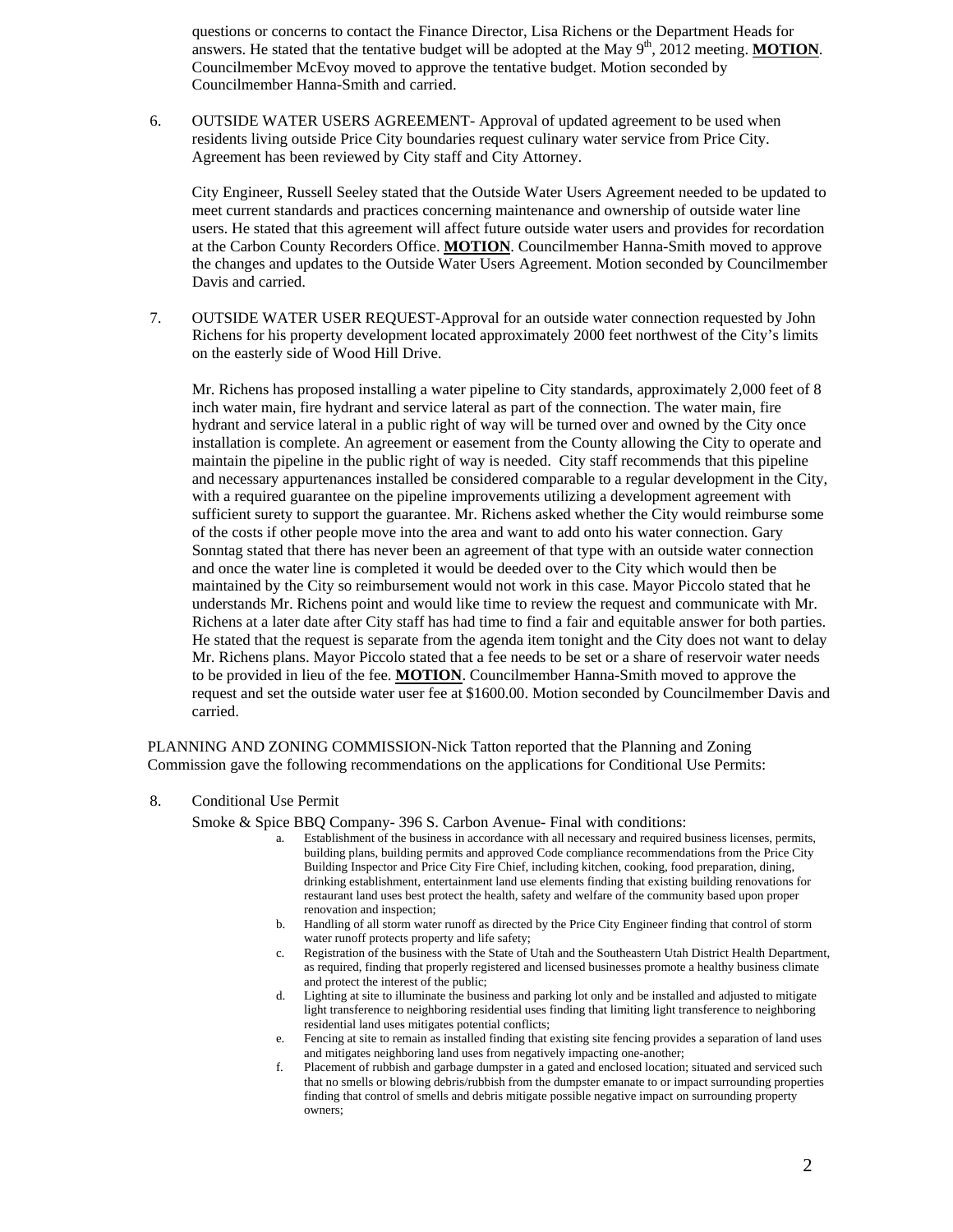questions or concerns to contact the Finance Director, Lisa Richens or the Department Heads for answers. He stated that the tentative budget will be adopted at the May  $9<sup>th</sup>$ , 2012 meeting. **MOTION**. Councilmember McEvoy moved to approve the tentative budget. Motion seconded by Councilmember Hanna-Smith and carried.

6. OUTSIDE WATER USERS AGREEMENT- Approval of updated agreement to be used when residents living outside Price City boundaries request culinary water service from Price City. Agreement has been reviewed by City staff and City Attorney.

City Engineer, Russell Seeley stated that the Outside Water Users Agreement needed to be updated to meet current standards and practices concerning maintenance and ownership of outside water line users. He stated that this agreement will affect future outside water users and provides for recordation at the Carbon County Recorders Office. **MOTION**. Councilmember Hanna-Smith moved to approve the changes and updates to the Outside Water Users Agreement. Motion seconded by Councilmember Davis and carried.

7. OUTSIDE WATER USER REQUEST-Approval for an outside water connection requested by John Richens for his property development located approximately 2000 feet northwest of the City's limits on the easterly side of Wood Hill Drive.

Mr. Richens has proposed installing a water pipeline to City standards, approximately 2,000 feet of 8 inch water main, fire hydrant and service lateral as part of the connection. The water main, fire hydrant and service lateral in a public right of way will be turned over and owned by the City once installation is complete. An agreement or easement from the County allowing the City to operate and maintain the pipeline in the public right of way is needed. City staff recommends that this pipeline and necessary appurtenances installed be considered comparable to a regular development in the City, with a required guarantee on the pipeline improvements utilizing a development agreement with sufficient surety to support the guarantee. Mr. Richens asked whether the City would reimburse some of the costs if other people move into the area and want to add onto his water connection. Gary Sonntag stated that there has never been an agreement of that type with an outside water connection and once the water line is completed it would be deeded over to the City which would then be maintained by the City so reimbursement would not work in this case. Mayor Piccolo stated that he understands Mr. Richens point and would like time to review the request and communicate with Mr. Richens at a later date after City staff has had time to find a fair and equitable answer for both parties. He stated that the request is separate from the agenda item tonight and the City does not want to delay Mr. Richens plans. Mayor Piccolo stated that a fee needs to be set or a share of reservoir water needs to be provided in lieu of the fee. **MOTION**. Councilmember Hanna-Smith moved to approve the request and set the outside water user fee at \$1600.00. Motion seconded by Councilmember Davis and carried.

PLANNING AND ZONING COMMISSION-Nick Tatton reported that the Planning and Zoning Commission gave the following recommendations on the applications for Conditional Use Permits:

8. Conditional Use Permit

Smoke & Spice BBQ Company- 396 S. Carbon Avenue- Final with conditions:<br>
a. Establishment of the business in accordance with all necessary and required business licenses, permits,

- building plans, building permits and approved Code compliance recommendations from the Price City Building Inspector and Price City Fire Chief, including kitchen, cooking, food preparation, dining, drinking establishment, entertainment land use elements finding that existing building renovations for restaurant land uses best protect the health, safety and welfare of the community based upon proper renovation and inspection;
- b. Handling of all storm water runoff as directed by the Price City Engineer finding that control of storm water runoff protects property and life safety;
- c. Registration of the business with the State of Utah and the Southeastern Utah District Health Department, as required, finding that properly registered and licensed businesses promote a healthy business climate and protect the interest of the public;
- d. Lighting at site to illuminate the business and parking lot only and be installed and adjusted to mitigate light transference to neighboring residential uses finding that limiting light transference to neighboring residential land uses mitigates potential conflicts;
- e. Fencing at site to remain as installed finding that existing site fencing provides a separation of land uses and mitigates neighboring land uses from negatively impacting one-another;
- f. Placement of rubbish and garbage dumpster in a gated and enclosed location; situated and serviced such that no smells or blowing debris/rubbish from the dumpster emanate to or impact surrounding properties finding that control of smells and debris mitigate possible negative impact on surrounding property owners;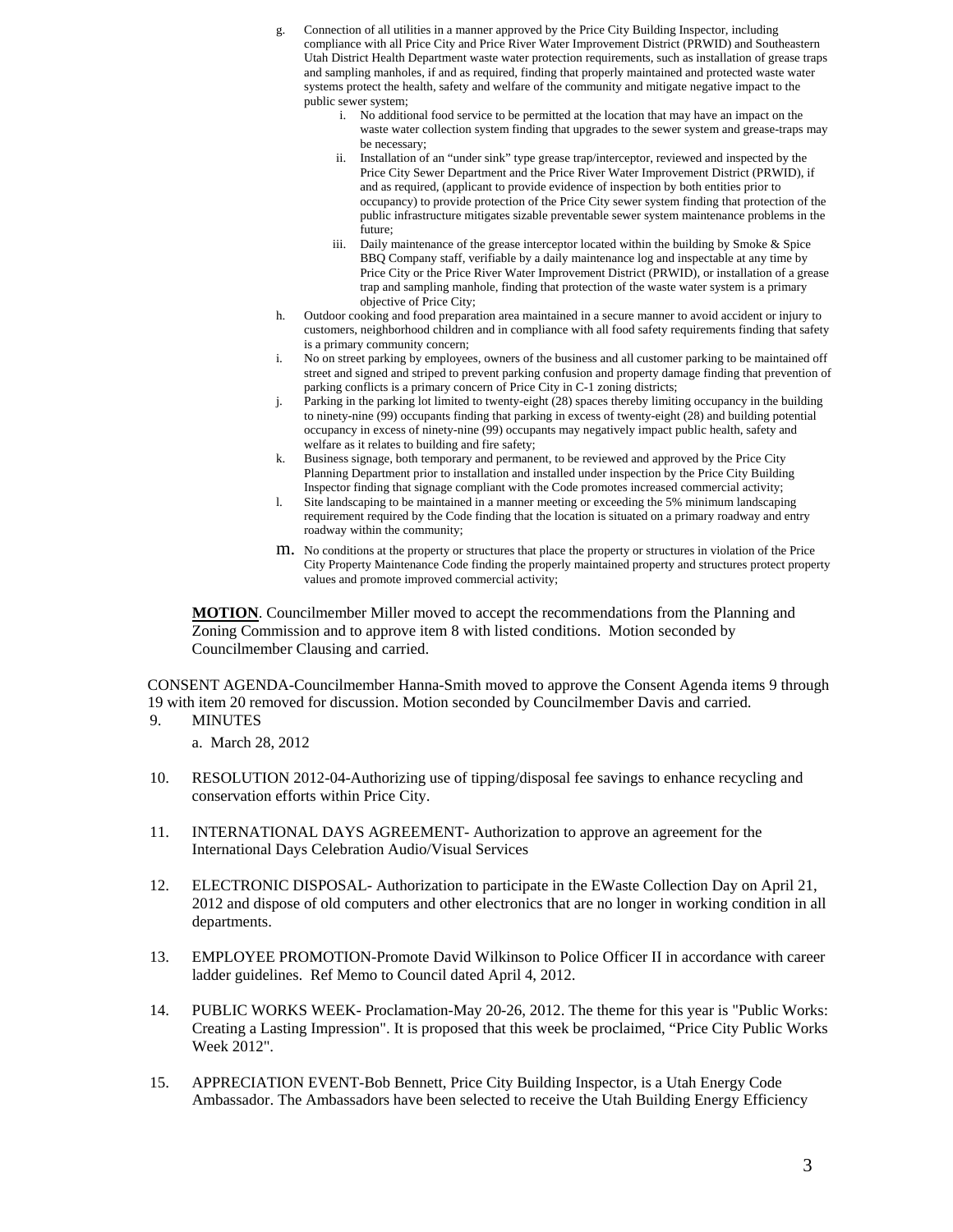- g. Connection of all utilities in a manner approved by the Price City Building Inspector, including compliance with all Price City and Price River Water Improvement District (PRWID) and Southeastern Utah District Health Department waste water protection requirements, such as installation of grease traps and sampling manholes, if and as required, finding that properly maintained and protected waste water systems protect the health, safety and welfare of the community and mitigate negative impact to the public sewer system;
	- i. No additional food service to be permitted at the location that may have an impact on the waste water collection system finding that upgrades to the sewer system and grease-traps may be necessary;
	- ii. Installation of an "under sink" type grease trap/interceptor, reviewed and inspected by the Price City Sewer Department and the Price River Water Improvement District (PRWID), if and as required, (applicant to provide evidence of inspection by both entities prior to occupancy) to provide protection of the Price City sewer system finding that protection of the public infrastructure mitigates sizable preventable sewer system maintenance problems in the future;
	- iii. Daily maintenance of the grease interceptor located within the building by Smoke & Spice BBQ Company staff, verifiable by a daily maintenance log and inspectable at any time by Price City or the Price River Water Improvement District (PRWID), or installation of a grease trap and sampling manhole, finding that protection of the waste water system is a primary objective of Price City;
- h. Outdoor cooking and food preparation area maintained in a secure manner to avoid accident or injury to customers, neighborhood children and in compliance with all food safety requirements finding that safety is a primary community concern;
- i. No on street parking by employees, owners of the business and all customer parking to be maintained off street and signed and striped to prevent parking confusion and property damage finding that prevention of parking conflicts is a primary concern of Price City in C-1 zoning districts;
- j. Parking in the parking lot limited to twenty-eight (28) spaces thereby limiting occupancy in the building to ninety-nine (99) occupants finding that parking in excess of twenty-eight (28) and building potential occupancy in excess of ninety-nine (99) occupants may negatively impact public health, safety and welfare as it relates to building and fire safety;
- k. Business signage, both temporary and permanent, to be reviewed and approved by the Price City Planning Department prior to installation and installed under inspection by the Price City Building Inspector finding that signage compliant with the Code promotes increased commercial activity;
- l. Site landscaping to be maintained in a manner meeting or exceeding the 5% minimum landscaping requirement required by the Code finding that the location is situated on a primary roadway and entry roadway within the community;
- m. No conditions at the property or structures that place the property or structures in violation of the Price City Property Maintenance Code finding the properly maintained property and structures protect property values and promote improved commercial activity;

**MOTION**. Councilmember Miller moved to accept the recommendations from the Planning and Zoning Commission and to approve item 8 with listed conditions. Motion seconded by Councilmember Clausing and carried.

CONSENT AGENDA-Councilmember Hanna-Smith moved to approve the Consent Agenda items 9 through 19 with item 20 removed for discussion. Motion seconded by Councilmember Davis and carried.

9. MINUTES

a. March 28, 2012

- 10. RESOLUTION 2012-04-Authorizing use of tipping/disposal fee savings to enhance recycling and conservation efforts within Price City.
- 11. INTERNATIONAL DAYS AGREEMENT- Authorization to approve an agreement for the International Days Celebration Audio/Visual Services
- 12. ELECTRONIC DISPOSAL- Authorization to participate in the EWaste Collection Day on April 21, 2012 and dispose of old computers and other electronics that are no longer in working condition in all departments.
- 13. EMPLOYEE PROMOTION-Promote David Wilkinson to Police Officer II in accordance with career ladder guidelines. Ref Memo to Council dated April 4, 2012.
- 14. PUBLIC WORKS WEEK- Proclamation-May 20-26, 2012. The theme for this year is "Public Works: Creating a Lasting Impression". It is proposed that this week be proclaimed, "Price City Public Works Week 2012".
- 15. APPRECIATION EVENT-Bob Bennett, Price City Building Inspector, is a Utah Energy Code Ambassador. The Ambassadors have been selected to receive the Utah Building Energy Efficiency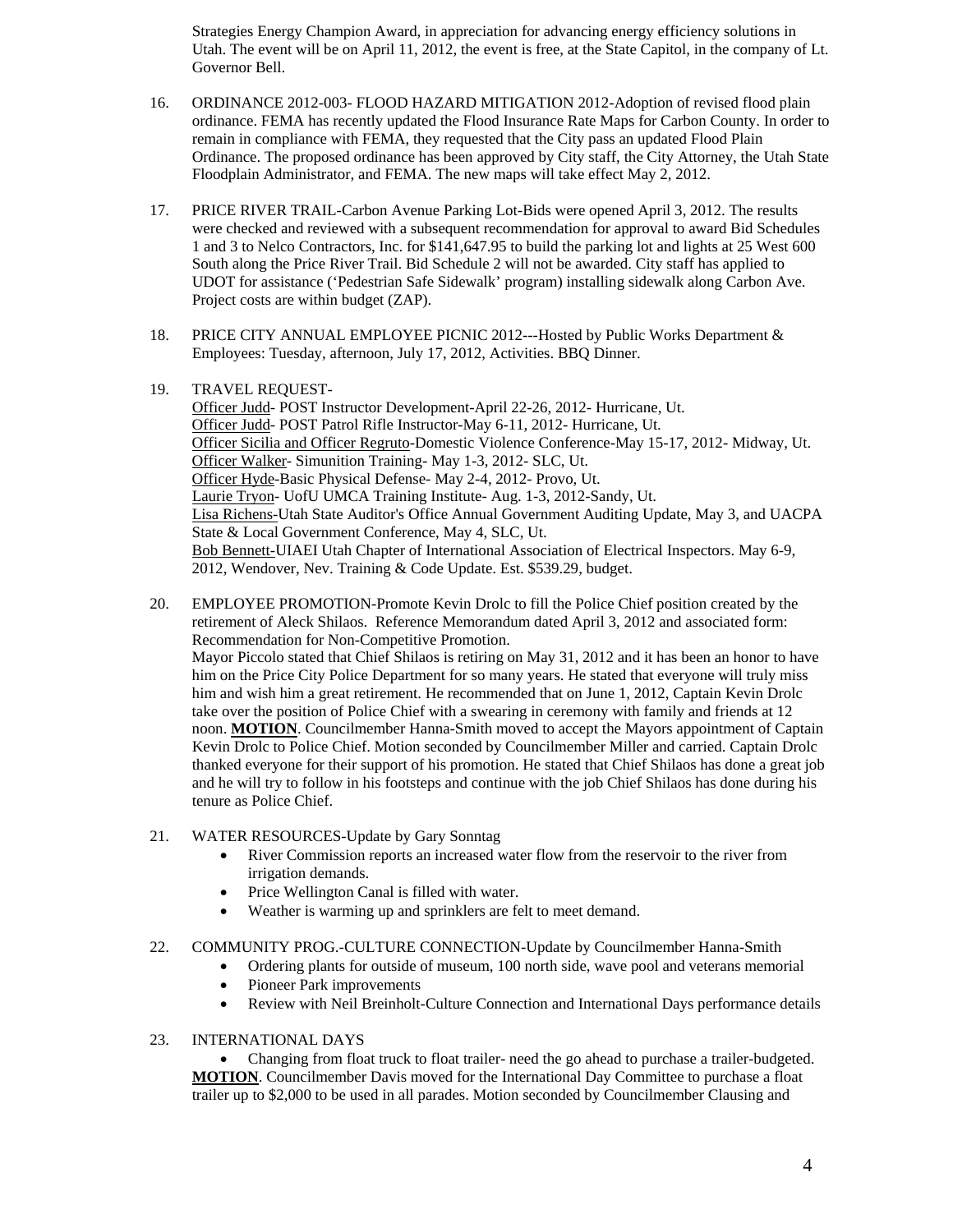Strategies Energy Champion Award, in appreciation for advancing energy efficiency solutions in Utah. The event will be on April 11, 2012, the event is free, at the State Capitol, in the company of Lt. Governor Bell.

- 16. ORDINANCE 2012-003- FLOOD HAZARD MITIGATION 2012-Adoption of revised flood plain ordinance. FEMA has recently updated the Flood Insurance Rate Maps for Carbon County. In order to remain in compliance with FEMA, they requested that the City pass an updated Flood Plain Ordinance. The proposed ordinance has been approved by City staff, the City Attorney, the Utah State Floodplain Administrator, and FEMA. The new maps will take effect May 2, 2012.
- 17. PRICE RIVER TRAIL-Carbon Avenue Parking Lot-Bids were opened April 3, 2012. The results were checked and reviewed with a subsequent recommendation for approval to award Bid Schedules 1 and 3 to Nelco Contractors, Inc. for \$141,647.95 to build the parking lot and lights at 25 West 600 South along the Price River Trail. Bid Schedule 2 will not be awarded. City staff has applied to UDOT for assistance ('Pedestrian Safe Sidewalk' program) installing sidewalk along Carbon Ave. Project costs are within budget (ZAP).
- 18. PRICE CITY ANNUAL EMPLOYEE PICNIC 2012---Hosted by Public Works Department & Employees: Tuesday, afternoon, July 17, 2012, Activities. BBQ Dinner.
- 19. TRAVEL REQUEST-

Officer Judd- POST Instructor Development-April 22-26, 2012- Hurricane, Ut. Officer Judd- POST Patrol Rifle Instructor-May 6-11, 2012- Hurricane, Ut. Officer Sicilia and Officer Regruto-Domestic Violence Conference-May 15-17, 2012- Midway, Ut. Officer Walker- Simunition Training- May 1-3, 2012- SLC, Ut. Officer Hyde-Basic Physical Defense- May 2-4, 2012- Provo, Ut. Laurie Tryon- UofU UMCA Training Institute- Aug. 1-3, 2012-Sandy, Ut. Lisa Richens-Utah State Auditor's Office Annual Government Auditing Update, May 3, and UACPA State & Local Government Conference, May 4, SLC, Ut. Bob Bennett-UIAEI Utah Chapter of International Association of Electrical Inspectors. May 6-9, 2012, Wendover, Nev. Training & Code Update. Est. \$539.29, budget.

- 20. EMPLOYEE PROMOTION-Promote Kevin Drolc to fill the Police Chief position created by the retirement of Aleck Shilaos. Reference Memorandum dated April 3, 2012 and associated form: Recommendation for Non-Competitive Promotion. Mayor Piccolo stated that Chief Shilaos is retiring on May 31, 2012 and it has been an honor to have him on the Price City Police Department for so many years. He stated that everyone will truly miss him and wish him a great retirement. He recommended that on June 1, 2012, Captain Kevin Drolc take over the position of Police Chief with a swearing in ceremony with family and friends at 12 noon. **MOTION**. Councilmember Hanna-Smith moved to accept the Mayors appointment of Captain Kevin Drolc to Police Chief. Motion seconded by Councilmember Miller and carried. Captain Drolc thanked everyone for their support of his promotion. He stated that Chief Shilaos has done a great job and he will try to follow in his footsteps and continue with the job Chief Shilaos has done during his tenure as Police Chief.
- 21. WATER RESOURCES-Update by Gary Sonntag
	- River Commission reports an increased water flow from the reservoir to the river from irrigation demands.
	- Price Wellington Canal is filled with water.
	- Weather is warming up and sprinklers are felt to meet demand.
- 22. COMMUNITY PROG.-CULTURE CONNECTION-Update by Councilmember Hanna-Smith
	- Ordering plants for outside of museum, 100 north side, wave pool and veterans memorial
	- Pioneer Park improvements
	- Review with Neil Breinholt-Culture Connection and International Days performance details
- 23. INTERNATIONAL DAYS

 Changing from float truck to float trailer- need the go ahead to purchase a trailer-budgeted. **MOTION**. Councilmember Davis moved for the International Day Committee to purchase a float trailer up to \$2,000 to be used in all parades. Motion seconded by Councilmember Clausing and